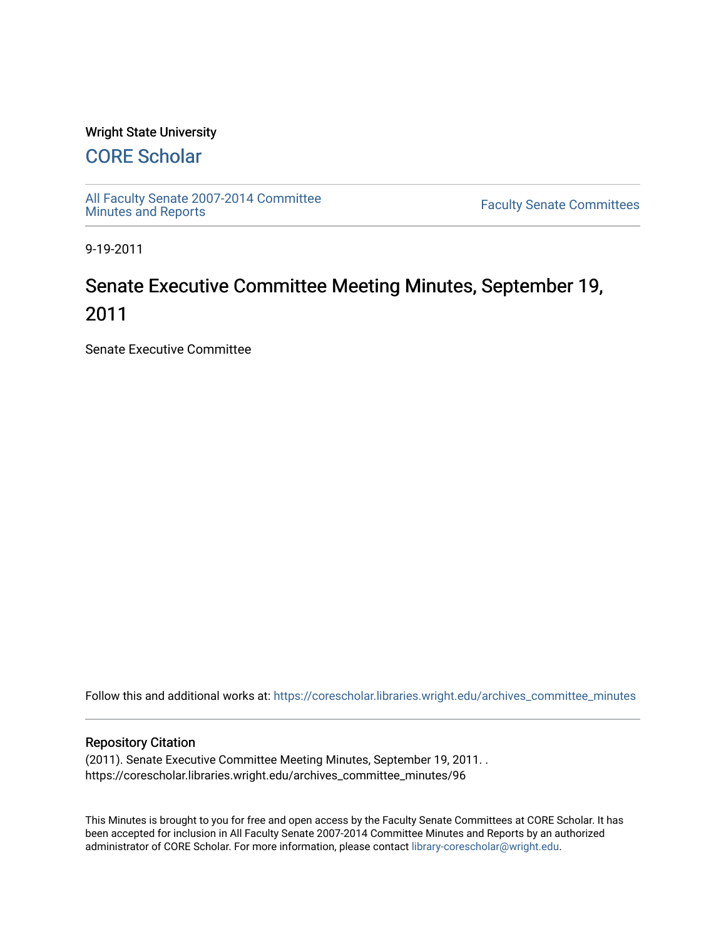### Wright State University

## [CORE Scholar](https://corescholar.libraries.wright.edu/)

[All Faculty Senate 2007-2014 Committee](https://corescholar.libraries.wright.edu/archives_committee_minutes)

**Faculty Senate Committees** 

9-19-2011

# Senate Executive Committee Meeting Minutes, September 19, 2011

Senate Executive Committee

Follow this and additional works at: [https://corescholar.libraries.wright.edu/archives\\_committee\\_minutes](https://corescholar.libraries.wright.edu/archives_committee_minutes?utm_source=corescholar.libraries.wright.edu%2Farchives_committee_minutes%2F96&utm_medium=PDF&utm_campaign=PDFCoverPages) 

#### Repository Citation

(2011). Senate Executive Committee Meeting Minutes, September 19, 2011. . https://corescholar.libraries.wright.edu/archives\_committee\_minutes/96

This Minutes is brought to you for free and open access by the Faculty Senate Committees at CORE Scholar. It has been accepted for inclusion in All Faculty Senate 2007-2014 Committee Minutes and Reports by an authorized administrator of CORE Scholar. For more information, please contact [library-corescholar@wright.edu.](mailto:library-corescholar@wright.edu)